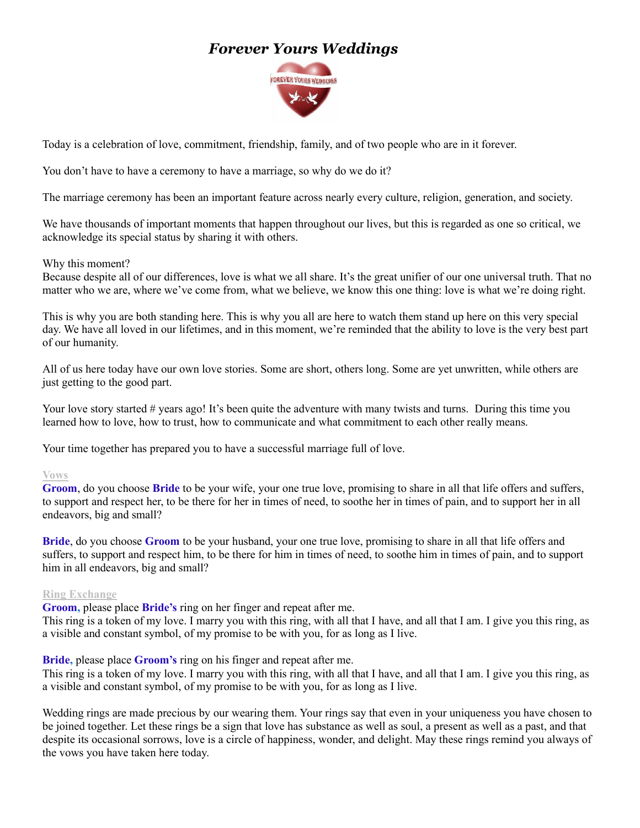# *Forever Yours Weddings*



Today is a celebration of love, commitment, friendship, family, and of two people who are in it forever.

You don't have to have a ceremony to have a marriage, so why do we do it?

The marriage ceremony has been an important feature across nearly every culture, religion, generation, and society.

We have thousands of important moments that happen throughout our lives, but this is regarded as one so critical, we acknowledge its special status by sharing it with others.

### Why this moment?

Because despite all of our differences, love is what we all share. It's the great unifier of our one universal truth. That no matter who we are, where we've come from, what we believe, we know this one thing: love is what we're doing right.

This is why you are both standing here. This is why you all are here to watch them stand up here on this very special day. We have all loved in our lifetimes, and in this moment, we're reminded that the ability to love is the very best part of our humanity.

All of us here today have our own love stories. Some are short, others long. Some are yet unwritten, while others are just getting to the good part.

Your love story started # years ago! It's been quite the adventure with many twists and turns. During this time you learned how to love, how to trust, how to communicate and what commitment to each other really means.

Your time together has prepared you to have a successful marriage full of love.

### **Vows**

**Groom**, do you choose **Bride** to be your wife, your one true love, promising to share in all that life offers and suffers, to support and respect her, to be there for her in times of need, to soothe her in times of pain, and to support her in all endeavors, big and small?

**Bride**, do you choose **Groom** to be your husband, your one true love, promising to share in all that life offers and suffers, to support and respect him, to be there for him in times of need, to soothe him in times of pain, and to support him in all endeavors, big and small?

### **Ring Exchange**

**Groom,** please place **Bride's** ring on her finger and repeat after me.

This ring is a token of my love. I marry you with this ring, with all that I have, and all that I am. I give you this ring, as a visible and constant symbol, of my promise to be with you, for as long as I live.

**Bride,** please place **Groom's** ring on his finger and repeat after me.

This ring is a token of my love. I marry you with this ring, with all that I have, and all that I am. I give you this ring, as a visible and constant symbol, of my promise to be with you, for as long as I live.

Wedding rings are made precious by our wearing them. Your rings say that even in your uniqueness you have chosen to be joined together. Let these rings be a sign that love has substance as well as soul, a present as well as a past, and that despite its occasional sorrows, love is a circle of happiness, wonder, and delight. May these rings remind you always of the vows you have taken here today.